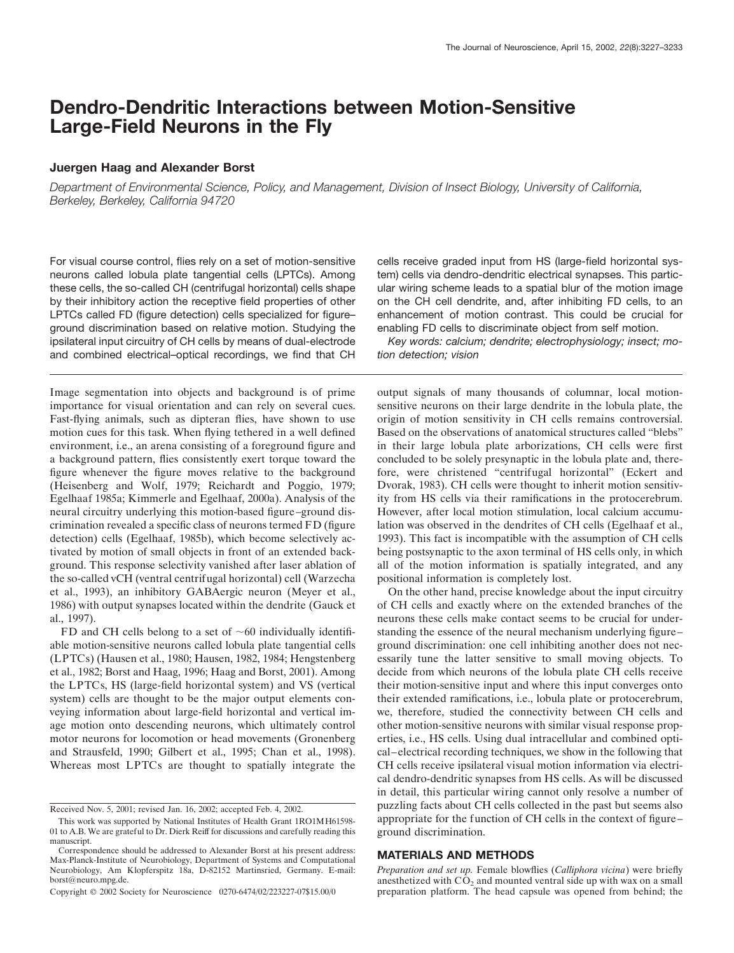# **Dendro-Dendritic Interactions between Motion-Sensitive Large-Field Neurons in the Fly**

### **Juergen Haag and Alexander Borst**

*Department of Environmental Science, Policy, and Management, Division of Insect Biology, University of California, Berkeley, Berkeley, California 94720*

For visual course control, flies rely on a set of motion-sensitive neurons called lobula plate tangential cells (LPTCs). Among these cells, the so-called CH (centrifugal horizontal) cells shape by their inhibitory action the receptive field properties of other LPTCs called FD (figure detection) cells specialized for figure– ground discrimination based on relative motion. Studying the ipsilateral input circuitry of CH cells by means of dual-electrode and combined electrical–optical recordings, we find that CH

Image segmentation into objects and background is of prime importance for visual orientation and can rely on several cues. Fast-flying animals, such as dipteran flies, have shown to use motion cues for this task. When flying tethered in a well defined environment, i.e., an arena consisting of a foreground figure and a background pattern, flies consistently exert torque toward the figure whenever the figure moves relative to the background (Heisenberg and Wolf, 1979; Reichardt and Poggio, 1979; Egelhaaf 1985a; Kimmerle and Egelhaaf, 2000a). Analysis of the neural circuitry underlying this motion-based figure–ground discrimination revealed a specific class of neurons termed FD (figure detection) cells (Egelhaaf, 1985b), which become selectively activated by motion of small objects in front of an extended background. This response selectivity vanished after laser ablation of the so-called vCH (ventral centrifugal horizontal) cell (Warzecha et al., 1993), an inhibitory GABAergic neuron (Meyer et al., 1986) with output synapses located within the dendrite (Gauck et al., 1997).

FD and CH cells belong to a set of  $\sim 60$  individually identifiable motion-sensitive neurons called lobula plate tangential cells (LPTCs) (Hausen et al., 1980; Hausen, 1982, 1984; Hengstenberg et al., 1982; Borst and Haag, 1996; Haag and Borst, 2001). Among the LPTCs, HS (large-field horizontal system) and VS (vertical system) cells are thought to be the major output elements conveying information about large-field horizontal and vertical image motion onto descending neurons, which ultimately control motor neurons for locomotion or head movements (Gronenberg and Strausfeld, 1990; Gilbert et al., 1995; Chan et al., 1998). Whereas most LPTCs are thought to spatially integrate the cells receive graded input from HS (large-field horizontal system) cells via dendro-dendritic electrical synapses. This particular wiring scheme leads to a spatial blur of the motion image on the CH cell dendrite, and, after inhibiting FD cells, to an enhancement of motion contrast. This could be crucial for enabling FD cells to discriminate object from self motion.

*Key words: calcium; dendrite; electrophysiology; insect; motion detection; vision*

output signals of many thousands of columnar, local motionsensitive neurons on their large dendrite in the lobula plate, the origin of motion sensitivity in CH cells remains controversial. Based on the observations of anatomical structures called "blebs" in their large lobula plate arborizations, CH cells were first concluded to be solely presynaptic in the lobula plate and, therefore, were christened "centrifugal horizontal" (Eckert and Dvorak, 1983). CH cells were thought to inherit motion sensitivity from HS cells via their ramifications in the protocerebrum. However, after local motion stimulation, local calcium accumulation was observed in the dendrites of CH cells (Egelhaaf et al., 1993). This fact is incompatible with the assumption of CH cells being postsynaptic to the axon terminal of HS cells only, in which all of the motion information is spatially integrated, and any positional information is completely lost.

On the other hand, precise knowledge about the input circuitry of CH cells and exactly where on the extended branches of the neurons these cells make contact seems to be crucial for understanding the essence of the neural mechanism underlying figure– ground discrimination: one cell inhibiting another does not necessarily tune the latter sensitive to small moving objects. To decide from which neurons of the lobula plate CH cells receive their motion-sensitive input and where this input converges onto their extended ramifications, i.e., lobula plate or protocerebrum, we, therefore, studied the connectivity between CH cells and other motion-sensitive neurons with similar visual response properties, i.e., HS cells. Using dual intracellular and combined optical–electrical recording techniques, we show in the following that CH cells receive ipsilateral visual motion information via electrical dendro-dendritic synapses from HS cells. As will be discussed in detail, this particular wiring cannot only resolve a number of puzzling facts about CH cells collected in the past but seems also appropriate for the function of CH cells in the context of figure– ground discrimination.

### **MATERIALS AND METHODS**

*Preparation and set up.* Female blowflies (*Calliphora vicina*) were briefly anesthetized with  $CO<sub>2</sub>$  and mounted ventral side up with wax on a small preparation platform. The head capsule was opened from behind; the

Received Nov. 5, 2001; revised Jan. 16, 2002; accepted Feb. 4, 2002.

This work was supported by National Institutes of Health Grant 1RO1MH61598- 01 to A.B. We are grateful to Dr. Dierk Reiff for discussions and carefully reading this manuscript.

Correspondence should be addressed to Alexander Borst at his present address: Max-Planck-Institute of Neurobiology, Department of Systems and Computational Neurobiology, Am Klopferspitz 18a, D-82152 Martinsried, Germany. E-mail: borst@neuro.mpg.de.

Copyright © 2002 Society for Neuroscience 0270-6474/02/223227-07\$15.00/0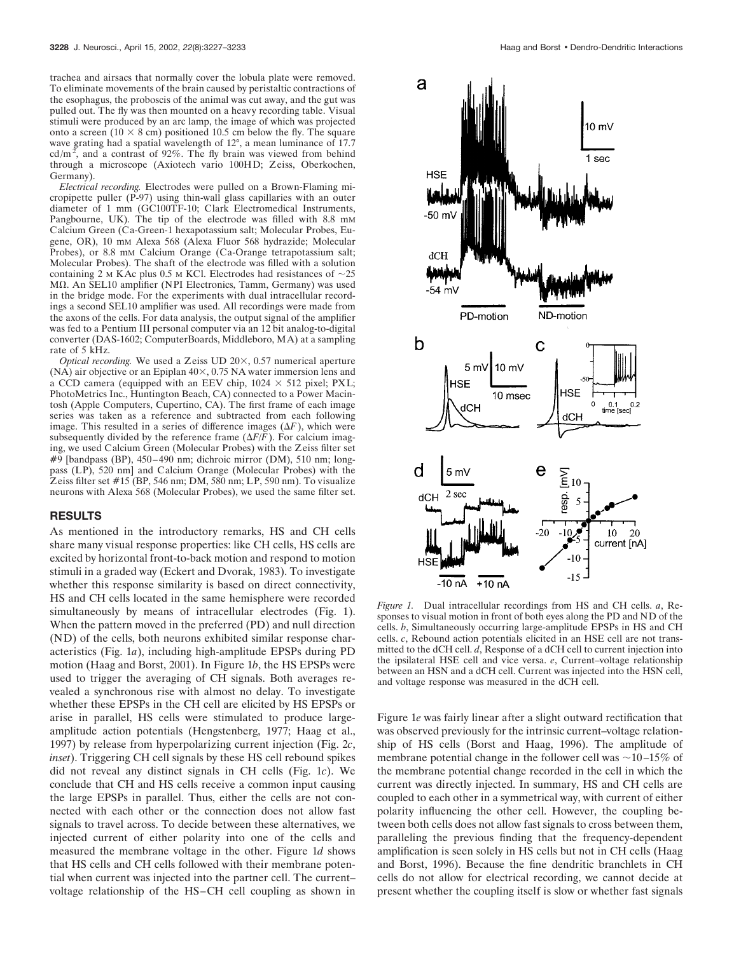trachea and airsacs that normally cover the lobula plate were removed. To eliminate movements of the brain caused by peristaltic contractions of the esophagus, the proboscis of the animal was cut away, and the gut was pulled out. The fly was then mounted on a heavy recording table. Visual stimuli were produced by an arc lamp, the image of which was projected onto a screen ( $10 \times 8$  cm) positioned 10.5 cm below the fly. The square wave grating had a spatial wavelength of 12°, a mean luminance of 17.7 cd/m<sup>2</sup>, and a contrast of 92%. The fly brain was viewed from behind through a microscope (Axiotech vario 100HD; Zeiss, Oberkochen, Germany).

*Electrical recording.* Electrodes were pulled on a Brown-Flaming micropipette puller (P-97) using thin-wall glass capillaries with an outer diameter of 1 mm (GC100TF-10; Clark Electromedical Instruments, Pangbourne, UK). The tip of the electrode was filled with 8.8 mm Calcium Green (Ca-Green-1 hexapotassium salt; Molecular Probes, Eugene, OR), 10 mM Alexa 568 (Alexa Fluor 568 hydrazide; Molecular Probes), or 8.8 mm Calcium Orange (Ca-Orange tetrapotassium salt; Molecular Probes). The shaft of the electrode was filled with a solution containing 2 M KAc plus 0.5 M KCl. Electrodes had resistances of  $\sim$ 25 MΩ. An SEL10 amplifier (NPI Electronics, Tamm, Germany) was used in the bridge mode. For the experiments with dual intracellular recordings a second SEL10 amplifier was used. All recordings were made from the axons of the cells. For data analysis, the output signal of the amplifier was fed to a Pentium III personal computer via an 12 bit analog-to-digital converter (DAS-1602; ComputerBoards, Middleboro, MA) at a sampling rate of 5 kHz.

*Optical recording.* We used a Zeiss UD 20×, 0.57 numerical aperture  $(NA)$  air objective or an Epiplan  $40 \times$ , 0.75 NA water immersion lens and a CCD camera (equipped with an EEV chip,  $1024 \times 512$  pixel; PXL; PhotoMetrics Inc., Huntington Beach, CA) connected to a Power Macintosh (Apple Computers, Cupertino, CA). The first frame of each image series was taken as a reference and subtracted from each following image. This resulted in a series of difference images  $(\Delta F)$ , which were subsequently divided by the reference frame  $(\Delta F/\bar{F})$ . For calcium imaging, we used Calcium Green (Molecular Probes) with the Zeiss filter set #9 [bandpass (BP), 450–490 nm; dichroic mirror (DM), 510 nm; longpass (LP), 520 nm] and Calcium Orange (Molecular Probes) with the Zeiss filter set #15 (BP, 546 nm; DM, 580 nm; LP, 590 nm). To visualize neurons with Alexa 568 (Molecular Probes), we used the same filter set.

### **RESULTS**

As mentioned in the introductory remarks, HS and CH cells share many visual response properties: like CH cells, HS cells are excited by horizontal front-to-back motion and respond to motion stimuli in a graded way (Eckert and Dvorak, 1983). To investigate whether this response similarity is based on direct connectivity, HS and CH cells located in the same hemisphere were recorded simultaneously by means of intracellular electrodes (Fig. 1). When the pattern moved in the preferred (PD) and null direction (ND) of the cells, both neurons exhibited similar response characteristics (Fig. 1*a*), including high-amplitude EPSPs during PD motion (Haag and Borst, 2001). In Figure 1*b*, the HS EPSPs were used to trigger the averaging of CH signals. Both averages revealed a synchronous rise with almost no delay. To investigate whether these EPSPs in the CH cell are elicited by HS EPSPs or arise in parallel, HS cells were stimulated to produce largeamplitude action potentials (Hengstenberg, 1977; Haag et al., 1997) by release from hyperpolarizing current injection (Fig. 2*c*, *inset*). Triggering CH cell signals by these HS cell rebound spikes did not reveal any distinct signals in CH cells (Fig. 1*c*). We conclude that CH and HS cells receive a common input causing the large EPSPs in parallel. Thus, either the cells are not connected with each other or the connection does not allow fast signals to travel across. To decide between these alternatives, we injected current of either polarity into one of the cells and measured the membrane voltage in the other. Figure 1*d* shows that HS cells and CH cells followed with their membrane potential when current was injected into the partner cell. The current– voltage relationship of the HS–CH cell coupling as shown in



*Figure 1.* Dual intracellular recordings from HS and CH cells. *a*, Responses to visual motion in front of both eyes along the PD and ND of the cells. *b*, Simultaneously occurring large-amplitude EPSPs in HS and CH cells. *c*, Rebound action potentials elicited in an HSE cell are not transmitted to the dCH cell. *d*, Response of a dCH cell to current injection into the ipsilateral HSE cell and vice versa. *e*, Current–voltage relationship between an HSN and a dCH cell. Current was injected into the HSN cell, and voltage response was measured in the dCH cell.

Figure 1*e* was fairly linear after a slight outward rectification that was observed previously for the intrinsic current–voltage relationship of HS cells (Borst and Haag, 1996). The amplitude of membrane potential change in the follower cell was  $\sim$ 10–15% of the membrane potential change recorded in the cell in which the current was directly injected. In summary, HS and CH cells are coupled to each other in a symmetrical way, with current of either polarity influencing the other cell. However, the coupling between both cells does not allow fast signals to cross between them, paralleling the previous finding that the frequency-dependent amplification is seen solely in HS cells but not in CH cells (Haag and Borst, 1996). Because the fine dendritic branchlets in CH cells do not allow for electrical recording, we cannot decide at present whether the coupling itself is slow or whether fast signals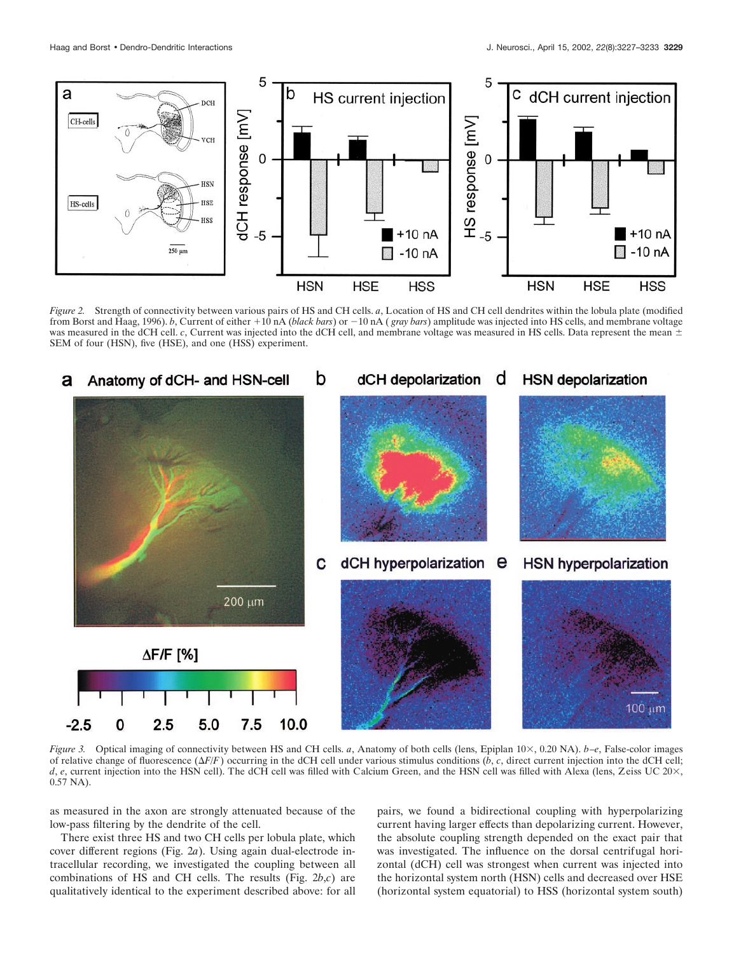

*Figure 2.* Strength of connectivity between various pairs of HS and CH cells. *a*, Location of HS and CH cell dendrites within the lobula plate (modified from Borst and Haag, 1996). *b*, Current of either +10 nA (*black bars*) or -10 nA (*gray bars*) amplitude was injected into HS cells, and membrane voltage was measured in the dCH cell. *c*, Current was injected into the dCH cell, and membrane voltage was measured in HS cells. Data represent the mean  $\pm$ SEM of four (HSN), five (HSE), and one (HSS) experiment.



*Figure 3.* Optical imaging of connectivity between HS and CH cells. *a*, Anatomy of both cells (lens, Epiplan 10×, 0.20 NA). *b–e*, False-color images of relative change of fluorescence  $(\Delta F/F)$  occurring in the dCH cell under various stimulus conditions  $(\dot{b}, c, d)$  direct current injection into the dCH cell; d, e, current injection into the HSN cell). The dCH cell was filled with Calcium Green, and the HSN cell was filled with Alexa (lens, Zeiss UC 20×,  $0.57$  NA).

as measured in the axon are strongly attenuated because of the low-pass filtering by the dendrite of the cell.

There exist three HS and two CH cells per lobula plate, which cover different regions (Fig. 2*a*). Using again dual-electrode intracellular recording, we investigated the coupling between all combinations of HS and CH cells. The results (Fig. 2*b*,*c*) are qualitatively identical to the experiment described above: for all pairs, we found a bidirectional coupling with hyperpolarizing current having larger effects than depolarizing current. However, the absolute coupling strength depended on the exact pair that was investigated. The influence on the dorsal centrifugal horizontal (dCH) cell was strongest when current was injected into the horizontal system north (HSN) cells and decreased over HSE (horizontal system equatorial) to HSS (horizontal system south)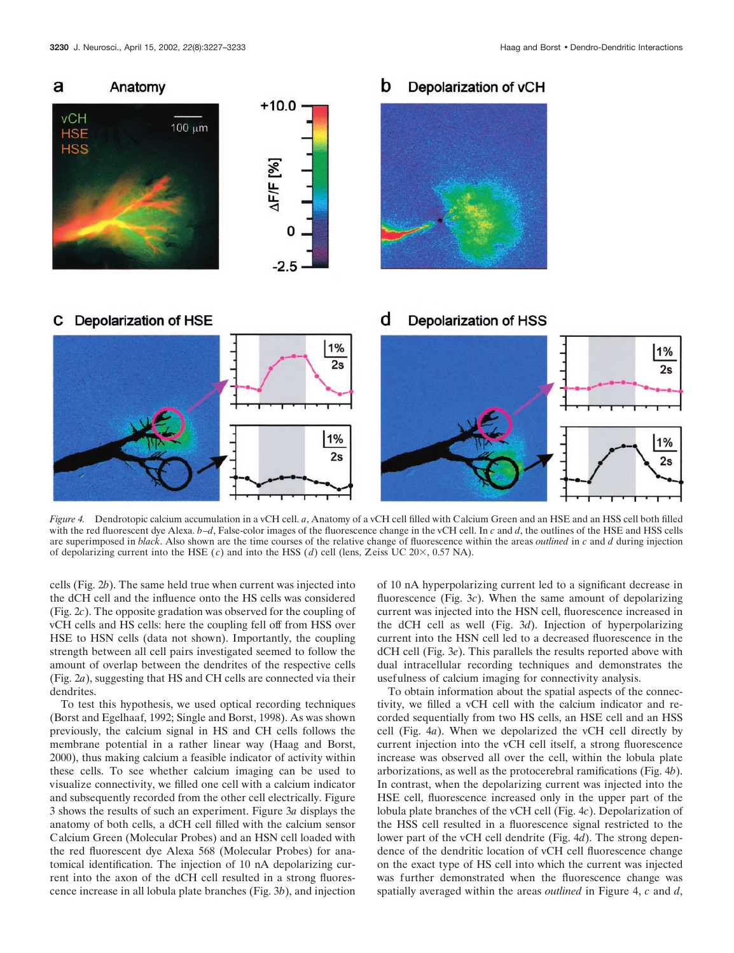#### a Anatomy



#### b Depolarization of vCH



## C Depolarization of HSE



d

*Figure 4.* Dendrotopic calcium accumulation in a vCH cell. *a*, Anatomy of a vCH cell filled with Calcium Green and an HSE and an HSS cell both filled with the red fluorescent dye Alexa. *b–d*, False-color images of the fluorescence change in the vCH cell. In *c* and *d*, the outlines of the HSE and HSS cells are superimposed in *black*. Also shown are the time courses of the relative change of fluorescence within the areas *outlined* in *c* and *d* during injection of depolarizing current into the HSE  $(c)$  and into the HSS  $(d)$  cell (lens, Zeiss UC 20 $\times$ , 0.57 NA).

cells (Fig. 2*b*). The same held true when current was injected into the dCH cell and the influence onto the HS cells was considered (Fig. 2*c*). The opposite gradation was observed for the coupling of vCH cells and HS cells: here the coupling fell off from HSS over HSE to HSN cells (data not shown). Importantly, the coupling strength between all cell pairs investigated seemed to follow the amount of overlap between the dendrites of the respective cells (Fig. 2*a*), suggesting that HS and CH cells are connected via their dendrites.

To test this hypothesis, we used optical recording techniques (Borst and Egelhaaf, 1992; Single and Borst, 1998). As was shown previously, the calcium signal in HS and CH cells follows the membrane potential in a rather linear way (Haag and Borst, 2000), thus making calcium a feasible indicator of activity within these cells. To see whether calcium imaging can be used to visualize connectivity, we filled one cell with a calcium indicator and subsequently recorded from the other cell electrically. Figure 3 shows the results of such an experiment. Figure 3*a* displays the anatomy of both cells, a dCH cell filled with the calcium sensor Calcium Green (Molecular Probes) and an HSN cell loaded with the red fluorescent dye Alexa 568 (Molecular Probes) for anatomical identification. The injection of 10 nA depolarizing current into the axon of the dCH cell resulted in a strong fluorescence increase in all lobula plate branches (Fig. 3*b*), and injection

of 10 nA hyperpolarizing current led to a significant decrease in fluorescence (Fig. 3*c*). When the same amount of depolarizing current was injected into the HSN cell, fluorescence increased in the dCH cell as well (Fig. 3*d*). Injection of hyperpolarizing current into the HSN cell led to a decreased fluorescence in the dCH cell (Fig. 3*e*). This parallels the results reported above with dual intracellular recording techniques and demonstrates the usefulness of calcium imaging for connectivity analysis.

To obtain information about the spatial aspects of the connectivity, we filled a vCH cell with the calcium indicator and recorded sequentially from two HS cells, an HSE cell and an HSS cell (Fig. 4*a*). When we depolarized the vCH cell directly by current injection into the vCH cell itself, a strong fluorescence increase was observed all over the cell, within the lobula plate arborizations, as well as the protocerebral ramifications (Fig. 4*b*). In contrast, when the depolarizing current was injected into the HSE cell, fluorescence increased only in the upper part of the lobula plate branches of the vCH cell (Fig. 4*c*). Depolarization of the HSS cell resulted in a fluorescence signal restricted to the lower part of the vCH cell dendrite (Fig. 4*d*). The strong dependence of the dendritic location of vCH cell fluorescence change on the exact type of HS cell into which the current was injected was further demonstrated when the fluorescence change was spatially averaged within the areas *outlined* in Figure 4, *c* and *d*,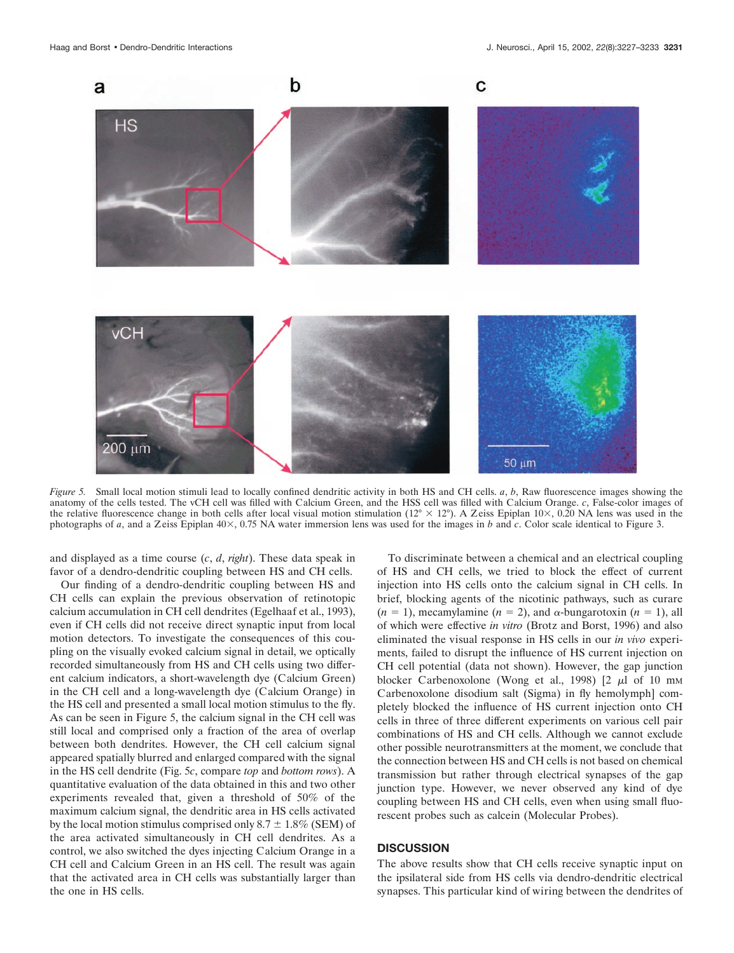

*Figure 5.* Small local motion stimuli lead to locally confined dendritic activity in both HS and CH cells. *a*, *b*, Raw fluorescence images showing the anatomy of the cells tested. The vCH cell was filled with Calcium Green, and the HSS cell was filled with Calcium Orange. *c*, False-color images of the relative fluorescence change in both cells after local visual motion stimulation  $(12^{\circ} \times 12^{\circ})$ . A Zeiss Epiplan  $10 \times$ , 0.20 NA lens was used in the photographs of *a*, and a Zeiss Epiplan 40×, 0.75 NA water immersion lens was used for the images in *b* and *c*. Color scale identical to Figure 3.

and displayed as a time course (*c*, *d*, *right*). These data speak in favor of a dendro-dendritic coupling between HS and CH cells.

Our finding of a dendro-dendritic coupling between HS and CH cells can explain the previous observation of retinotopic calcium accumulation in CH cell dendrites (Egelhaaf et al., 1993), even if CH cells did not receive direct synaptic input from local motion detectors. To investigate the consequences of this coupling on the visually evoked calcium signal in detail, we optically recorded simultaneously from HS and CH cells using two different calcium indicators, a short-wavelength dye (Calcium Green) in the CH cell and a long-wavelength dye (Calcium Orange) in the HS cell and presented a small local motion stimulus to the fly. As can be seen in Figure 5, the calcium signal in the CH cell was still local and comprised only a fraction of the area of overlap between both dendrites. However, the CH cell calcium signal appeared spatially blurred and enlarged compared with the signal in the HS cell dendrite (Fig. 5*c*, compare *top* and *bottom rows*). A quantitative evaluation of the data obtained in this and two other experiments revealed that, given a threshold of 50% of the maximum calcium signal, the dendritic area in HS cells activated by the local motion stimulus comprised only  $8.7 \pm 1.8\%$  (SEM) of the area activated simultaneously in CH cell dendrites. As a control, we also switched the dyes injecting Calcium Orange in a CH cell and Calcium Green in an HS cell. The result was again that the activated area in CH cells was substantially larger than the one in HS cells.

To discriminate between a chemical and an electrical coupling of HS and CH cells, we tried to block the effect of current injection into HS cells onto the calcium signal in CH cells. In brief, blocking agents of the nicotinic pathways, such as curare  $(n = 1)$ , mecamylamine  $(n = 2)$ , and  $\alpha$ -bungarotoxin  $(n = 1)$ , all of which were effective *in vitro* (Brotz and Borst, 1996) and also eliminated the visual response in HS cells in our *in vivo* experiments, failed to disrupt the influence of HS current injection on CH cell potential (data not shown). However, the gap junction blocker Carbenoxolone (Wong et al., 1998)  $[2 \mu]$  of 10 mm Carbenoxolone disodium salt (Sigma) in fly hemolymph] completely blocked the influence of HS current injection onto CH cells in three of three different experiments on various cell pair combinations of HS and CH cells. Although we cannot exclude other possible neurotransmitters at the moment, we conclude that the connection between HS and CH cells is not based on chemical transmission but rather through electrical synapses of the gap junction type. However, we never observed any kind of dye coupling between HS and CH cells, even when using small fluorescent probes such as calcein (Molecular Probes).

### **DISCUSSION**

The above results show that CH cells receive synaptic input on the ipsilateral side from HS cells via dendro-dendritic electrical synapses. This particular kind of wiring between the dendrites of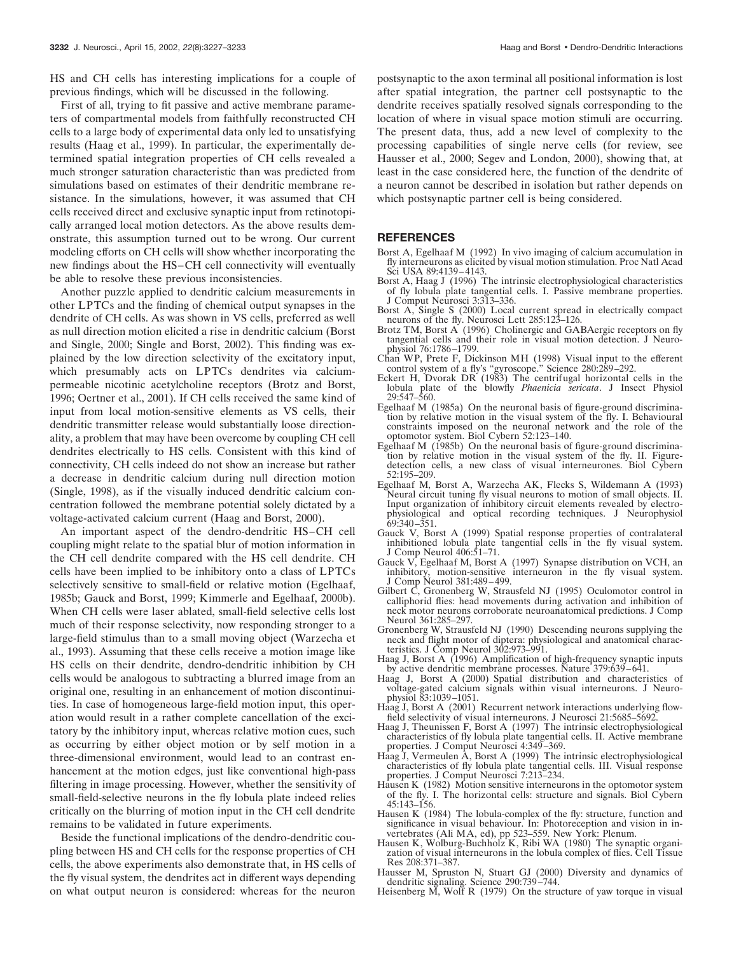HS and CH cells has interesting implications for a couple of previous findings, which will be discussed in the following.

First of all, trying to fit passive and active membrane parameters of compartmental models from faithfully reconstructed CH cells to a large body of experimental data only led to unsatisfying results (Haag et al., 1999). In particular, the experimentally determined spatial integration properties of CH cells revealed a much stronger saturation characteristic than was predicted from simulations based on estimates of their dendritic membrane resistance. In the simulations, however, it was assumed that CH cells received direct and exclusive synaptic input from retinotopically arranged local motion detectors. As the above results demonstrate, this assumption turned out to be wrong. Our current modeling efforts on CH cells will show whether incorporating the new findings about the HS–CH cell connectivity will eventually be able to resolve these previous inconsistencies.

Another puzzle applied to dendritic calcium measurements in other LPTCs and the finding of chemical output synapses in the dendrite of CH cells. As was shown in VS cells, preferred as well as null direction motion elicited a rise in dendritic calcium (Borst and Single, 2000; Single and Borst, 2002). This finding was explained by the low direction selectivity of the excitatory input, which presumably acts on LPTCs dendrites via calciumpermeable nicotinic acetylcholine receptors (Brotz and Borst, 1996; Oertner et al., 2001). If CH cells received the same kind of input from local motion-sensitive elements as VS cells, their dendritic transmitter release would substantially loose directionality, a problem that may have been overcome by coupling CH cell dendrites electrically to HS cells. Consistent with this kind of connectivity, CH cells indeed do not show an increase but rather a decrease in dendritic calcium during null direction motion (Single, 1998), as if the visually induced dendritic calcium concentration followed the membrane potential solely dictated by a voltage-activated calcium current (Haag and Borst, 2000).

An important aspect of the dendro-dendritic HS–CH cell coupling might relate to the spatial blur of motion information in the CH cell dendrite compared with the HS cell dendrite. CH cells have been implied to be inhibitory onto a class of LPTCs selectively sensitive to small-field or relative motion (Egelhaaf, 1985b; Gauck and Borst, 1999; Kimmerle and Egelhaaf, 2000b). When CH cells were laser ablated, small-field selective cells lost much of their response selectivity, now responding stronger to a large-field stimulus than to a small moving object (Warzecha et al., 1993). Assuming that these cells receive a motion image like HS cells on their dendrite, dendro-dendritic inhibition by CH cells would be analogous to subtracting a blurred image from an original one, resulting in an enhancement of motion discontinuities. In case of homogeneous large-field motion input, this operation would result in a rather complete cancellation of the excitatory by the inhibitory input, whereas relative motion cues, such as occurring by either object motion or by self motion in a three-dimensional environment, would lead to an contrast enhancement at the motion edges, just like conventional high-pass filtering in image processing. However, whether the sensitivity of small-field-selective neurons in the fly lobula plate indeed relies critically on the blurring of motion input in the CH cell dendrite remains to be validated in future experiments.

Beside the functional implications of the dendro-dendritic coupling between HS and CH cells for the response properties of CH cells, the above experiments also demonstrate that, in HS cells of the fly visual system, the dendrites act in different ways depending on what output neuron is considered: whereas for the neuron

postsynaptic to the axon terminal all positional information is lost after spatial integration, the partner cell postsynaptic to the dendrite receives spatially resolved signals corresponding to the location of where in visual space motion stimuli are occurring. The present data, thus, add a new level of complexity to the processing capabilities of single nerve cells (for review, see Hausser et al., 2000; Segev and London, 2000), showing that, at least in the case considered here, the function of the dendrite of a neuron cannot be described in isolation but rather depends on which postsynaptic partner cell is being considered.

### **REFERENCES**

- Borst A, Egelhaaf M (1992) In vivo imaging of calcium accumulation in fly interneurons as elicited by visual motion stimulation. Proc Natl Acad Sci USA 89:4139–4143.
- Borst A, Haag J (1996) The intrinsic electrophysiological characteristics of fly lobula plate tangential cells. I. Passive membrane properties. J Comput Neurosci 3:313–336.
- Borst A, Single S (2000) Local current spread in electrically compact neurons of the fly. Neurosci Lett 285:123–126.
- Brotz TM, Borst A (1996) Cholinergic and GABAergic receptors on fly tangential cells and their role in visual motion detection. J Neurophysiol 76:1786–1799.
- Chan WP, Prete F, Dickinson MH (1998) Visual input to the efferent control system of a fly's "gyroscope." Science 280:289–292.
- Eckert H, Dvorak DR (1983) The centrifugal horizontal cells in the lobula plate of the blowfly *Phaenicia sericata*. J Insect Physiol 29:547–560.
- Egelhaaf M (1985a) On the neuronal basis of figure-ground discrimination by relative motion in the visual system of the fly. I. Behavioural constraints imposed on the neuronal network and the role of the optomotor system. Biol Cybern 52:123–140.
- Egelhaaf M (1985b) On the neuronal basis of figure-ground discrimination by relative motion in the visual system of the fly. II. Figuredetection cells, a new class of visual interneurones. Biol Cybern 52:195–209.
- Egelhaaf M, Borst A, Warzecha AK, Flecks S, Wildemann A (1993) Neural circuit tuning fly visual neurons to motion of small objects. II. Input organization of inhibitory circuit elements revealed by electrophysiological and optical recording techniques. J Neurophysiol 69:340–351.
- Gauck V, Borst A (1999) Spatial response properties of contralateral inhibitioned lobula plate tangential cells in the fly visual system. J Comp Neurol 406:51–71.
- Gauck V, Egelhaaf M, Borst A (1997) Synapse distribution on VCH, an inhibitory, motion-sensitive interneuron in the fly visual system. J Comp Neurol 381:489–499.
- Gilbert C, Gronenberg W, Strausfeld NJ (1995) Oculomotor control in calliphorid flies: head movements during activation and inhibition of neck motor neurons corroborate neuroanatomical predictions. J Comp Neurol 361:285–297.
- Gronenberg W, Strausfeld NJ (1990) Descending neurons supplying the neck and flight motor of diptera: physiological and anatomical characteristics. J Comp Neurol 302:973–991.
- Haag J, Borst A (1996) Amplification of high-frequency synaptic inputs by active dendritic membrane processes. Nature 379:639–641.
- Haag J, Borst A (2000) Spatial distribution and characteristics of voltage-gated calcium signals within visual interneurons. J Neurophysiol 83:1039–1051.
- Haag J, Borst A (2001) Recurrent network interactions underlying flowfield selectivity of visual interneurons. J Neurosci 21:5685–5692.
- Haag J, Theunissen F, Borst A (1997) The intrinsic electrophysiological characteristics of fly lobula plate tangential cells. II. Active membrane properties. J Comput Neurosci 4:349–369.
- Haag J, Vermeulen A, Borst A (1999) The intrinsic electrophysiological characteristics of fly lobula plate tangential cells. III. Visual response properties. J Comput Neurosci 7:213–234.
- Hausen K  $(1982)$  Motion sensitive interneurons in the optomotor system of the fly. I. The horizontal cells: structure and signals. Biol Cybern 45:143–156.
- Hausen K (1984) The lobula-complex of the fly: structure, function and significance in visual behaviour. In: Photoreception and vision in invertebrates (Ali MA, ed), pp 523–559. New York: Plenum.
- Hausen K, Wolburg-Buchholz K, Ribi WA (1980) The synaptic organization of visual interneurons in the lobula complex of flies. Cell Tissue Res 208:371–387.
- Hausser M, Spruston N, Stuart GJ (2000) Diversity and dynamics of dendritic signaling. Science 290:739–744.
- Heisenberg M, Wolf R (1979) On the structure of yaw torque in visual